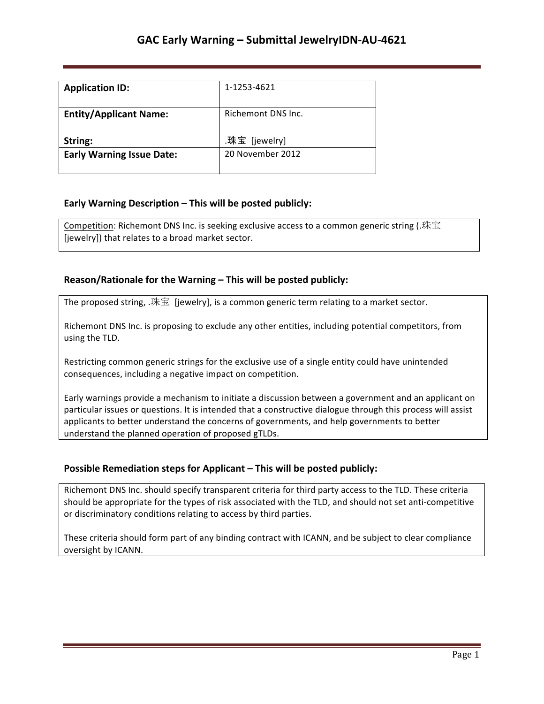| <b>Application ID:</b>           | 1-1253-4621        |
|----------------------------------|--------------------|
| <b>Entity/Applicant Name:</b>    | Richemont DNS Inc. |
| String:                          | .珠宝 [jewelry]      |
| <b>Early Warning Issue Date:</b> | 20 November 2012   |

### **Early Warning Description – This will be posted publicly:**

Competition: Richemont DNS Inc. is seeking exclusive access to a common generic string (.珠宝 [jewelry]) that relates to a broad market sector.

### **Reason/Rationale for the Warning – This will be posted publicly:**

The proposed string, .珠宝 [jewelry], is a common generic term relating to a market sector.

Richemont DNS Inc. is proposing to exclude any other entities, including potential competitors, from using the TLD.

Restricting common generic strings for the exclusive use of a single entity could have unintended consequences, including a negative impact on competition.

Early warnings provide a mechanism to initiate a discussion between a government and an applicant on particular issues or questions. It is intended that a constructive dialogue through this process will assist applicants to better understand the concerns of governments, and help governments to better understand the planned operation of proposed gTLDs.

#### **Possible Remediation steps for Applicant – This will be posted publicly:**

Richemont DNS Inc. should specify transparent criteria for third party access to the TLD. These criteria should be appropriate for the types of risk associated with the TLD, and should not set anti-competitive or discriminatory conditions relating to access by third parties.

These criteria should form part of any binding contract with ICANN, and be subject to clear compliance oversight by ICANN.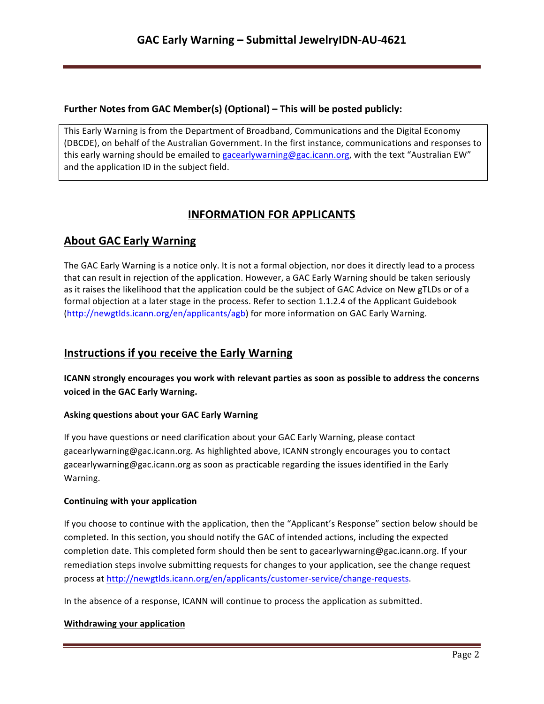## **Further Notes from GAC Member(s) (Optional) – This will be posted publicly:**

This Early Warning is from the Department of Broadband, Communications and the Digital Economy (DBCDE), on behalf of the Australian Government. In the first instance, communications and responses to this early warning should be emailed to gacearlywarning@gac.icann.org, with the text "Australian EW" and the application ID in the subject field.

# **INFORMATION FOR APPLICANTS**

# **About GAC Early Warning**

The GAC Early Warning is a notice only. It is not a formal objection, nor does it directly lead to a process that can result in rejection of the application. However, a GAC Early Warning should be taken seriously as it raises the likelihood that the application could be the subject of GAC Advice on New gTLDs or of a formal objection at a later stage in the process. Refer to section 1.1.2.4 of the Applicant Guidebook (http://newgtlds.icann.org/en/applicants/agb) for more information on GAC Early Warning.

## **Instructions if you receive the Early Warning**

**ICANN** strongly encourages you work with relevant parties as soon as possible to address the concerns voiced in the GAC Early Warning.

### **Asking questions about your GAC Early Warning**

If you have questions or need clarification about your GAC Early Warning, please contact gacearlywarning@gac.icann.org. As highlighted above, ICANN strongly encourages you to contact gacearlywarning@gac.icann.org as soon as practicable regarding the issues identified in the Early Warning. 

#### **Continuing with your application**

If you choose to continue with the application, then the "Applicant's Response" section below should be completed. In this section, you should notify the GAC of intended actions, including the expected completion date. This completed form should then be sent to gacearlywarning@gac.icann.org. If your remediation steps involve submitting requests for changes to your application, see the change request process at http://newgtlds.icann.org/en/applicants/customer-service/change-requests.

In the absence of a response, ICANN will continue to process the application as submitted.

#### **Withdrawing your application**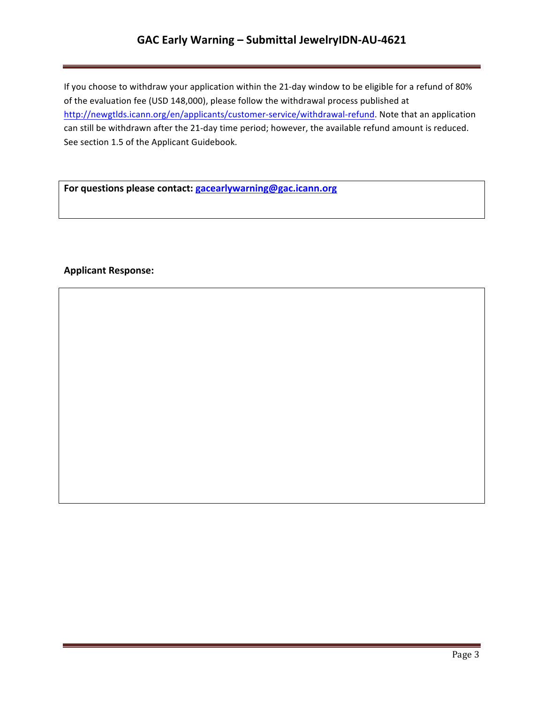## GAC Early Warning - Submittal JewelryIDN-AU-4621

If you choose to withdraw your application within the 21-day window to be eligible for a refund of 80% of the evaluation fee (USD 148,000), please follow the withdrawal process published at http://newgtlds.icann.org/en/applicants/customer-service/withdrawal-refund. Note that an application can still be withdrawn after the 21-day time period; however, the available refund amount is reduced. See section 1.5 of the Applicant Guidebook.

For questions please contact: **gacearlywarning@gac.icann.org** 

### **Applicant Response:**